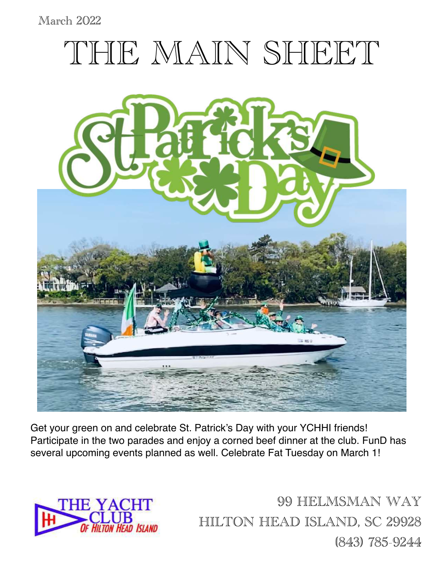### March 2022



Get your green on and celebrate St. Patrick's Day with your YCHHI friends! Participate in the two parades and enjoy a corned beef dinner at the club. FunD has several upcoming events planned as well. Celebrate Fat Tuesday on March 1!



99 HELMSMAN WAY HILTON HEAD ISLAND, SC 29928 (843) 785-9244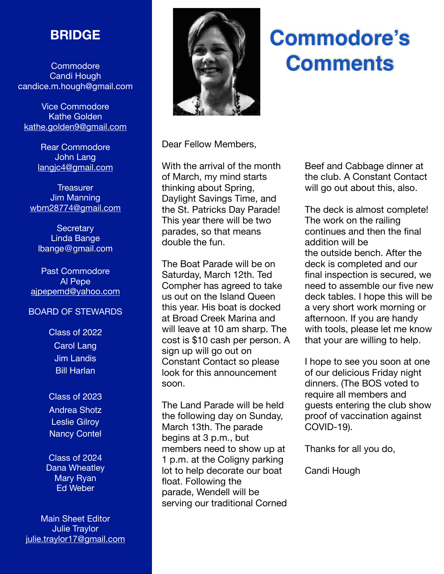## **BRIDGE**

Commodore Candi Hough candice.m.hough@gmail.com

Vice Commodore Kathe Golden kathe.golden9@gmail.com

> Rear Commodore John Lang [langjc4@gmail.com](mailto:langjc4@gmail.com)

**Treasurer** Jim Manning wbm28774@gmail.com

**Secretary** Linda Bange [lbange@gmail.com](mailto:lbange@gmail.com)

Past Commodore Al Pepe [ajpepemd@yahoo.com](mailto:ajpepemd@yahoo.com)

#### BOARD OF STEWARDS

Class of 2022 Carol Lang Jim Landis Bill Harlan

Class of 2023 Andrea Shotz Leslie Gilroy Nancy Contel

Class of 2024 Dana Wheatley Mary Ryan Ed Weber

Main Sheet Editor Julie Traylor julie.traylor17@gmail.com



# **Commodore's Comments**

Dear Fellow Members,

With the arrival of the month of March, my mind starts thinking about Spring, Daylight Savings Time, and the St. Patricks Day Parade! This year there will be two parades, so that means double the fun.

The Boat Parade will be on Saturday, March 12th. Ted Compher has agreed to take us out on the Island Queen this year. His boat is docked at Broad Creek Marina and will leave at 10 am sharp. The cost is \$10 cash per person. A sign up will go out on Constant Contact so please look for this announcement soon.

The Land Parade will be held the following day on Sunday, March 13th. The parade begins at 3 p.m., but members need to show up at 1 p.m. at the Coligny parking lot to help decorate our boat float. Following the parade, Wendell will be serving our traditional Corned Beef and Cabbage dinner at the club. A Constant Contact will go out about this, also.

The deck is almost complete! The work on the railing continues and then the final addition will be the outside bench. After the deck is completed and our final inspection is secured, we need to assemble our five new deck tables. I hope this will be a very short work morning or afternoon. If you are handy with tools, please let me know that your are willing to help.

I hope to see you soon at one of our delicious Friday night dinners. (The BOS voted to require all members and guests entering the club show proof of vaccination against COVID-19).

Thanks for all you do,

Candi Hough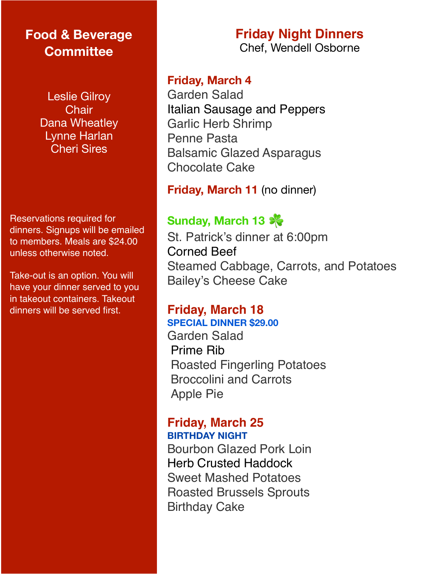## **Food & Beverage Committee**

Leslie Gilroy **Chair** Dana Wheatley Lynne Harlan Cheri Sires

Reservations required for dinners. Signups will be emailed to members. Meals are \$24.00 unless otherwise noted.

Take-out is an option. You will have your dinner served to you in takeout containers. Takeout dinners will be served first.

### **Friday, March 4**

Garden Salad Italian Sausage and Peppers Garlic Herb Shrimp Penne Pasta Balsamic Glazed Asparagus Chocolate Cake

**Friday, March 11** (no dinner)

## **Sunday, March 13** ☘

St. Patrick's dinner at 6:00pm Corned Beef Steamed Cabbage, Carrots, and Potatoes Bailey's Cheese Cake

#### **Friday, March 18 SPECIAL DINNER \$29.00**

Garden Salad Prime Rib Roasted Fingerling Potatoes Broccolini and Carrots Apple Pie

### **Friday, March 25 BIRTHDAY NIGHT**

Bourbon Glazed Pork Loin Herb Crusted Haddock Sweet Mashed Potatoes Roasted Brussels Sprouts Birthday Cake

### **Friday Night Dinners** Chef, Wendell Osborne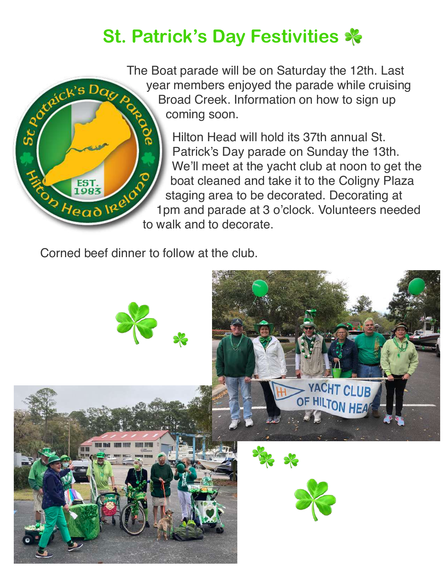## **St. Patrick's Day Festivities** ☘

The Boat parade will be on Saturday the 12th. Last year members enjoyed the parade while cruising ceick's Dag A Broad Creek. Information on how to sign up coming soon.

> Hilton Head will hold its 37th annual St. Patrick's Day parade on Sunday the 13th. We'll meet at the yacht club at noon to get the boat cleaned and take it to the Coligny Plaza staging area to be decorated. Decorating at 1pm and parade at 3 o'clock. Volunteers needed to walk and to decorate.

Corned beef dinner to follow at the club.

St POX

EST.<br>1983

Ob Head Irelo

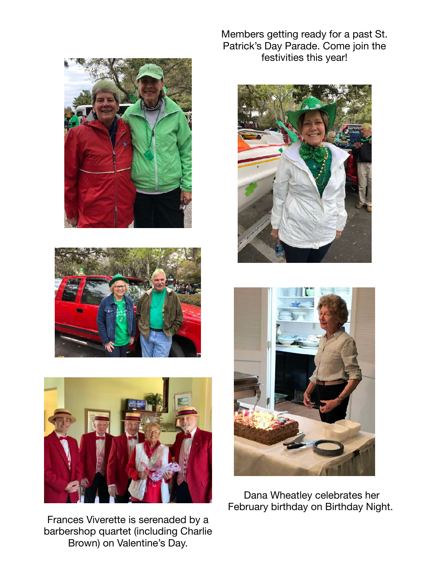





Frances Viverette is serenaded by a barbershop quartet (including Charlie Brown) on Valentine's Day.

Members getting ready for a past St. Patrick's Day Parade. Come join the festivities this year!





Dana Wheatley celebrates her February birthday on Birthday Night.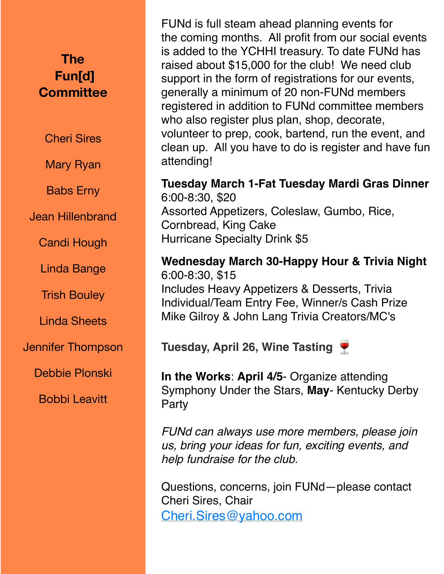## **The Fun[d] Committee**

Cheri Sires

Mary Ryan

Babs Erny

Jean Hillenbrand

Candi Hough

Linda Bange

Trish Bouley

Linda Sheets

Jennifer Thompson

Debbie Plonski

Bobbi Leavitt

FUNd is full steam ahead planning events for the coming months. All profit from our social events is added to the YCHHI treasury. To date FUNd has raised about \$15,000 for the club! We need club support in the form of registrations for our events, generally a minimum of 20 non-FUNd members registered in addition to FUNd committee members who also register plus plan, shop, decorate, volunteer to prep, cook, bartend, run the event, and clean up. All you have to do is register and have fun attending!

**Tuesday March 1-Fat Tuesday Mardi Gras Dinner**  6:00-8:30, \$20 Assorted Appetizers, Coleslaw, Gumbo, Rice, Cornbread, King Cake Hurricane Specialty Drink \$5

**Wednesday March 30-Happy Hour & Trivia Night** 6:00-8:30, \$15 Includes Heavy Appetizers & Desserts, Trivia Individual/Team Entry Fee, Winner/s Cash Prize Mike Gilroy & John Lang Trivia Creators/MC's

**Tuesday, April 26, Wine Tasting** 

**In the Works**: **April 4/5**- Organize attending Symphony Under the Stars, **May**- Kentucky Derby Party

*FUNd can always use more members, please join us, bring your ideas for fun, exciting events, and help fundraise for the club.*

Questions, concerns, join FUNd—please contact Cheri Sires, Chair [Cheri.Sires@yahoo.com](mailto:Cheri.Sires@yahoo.com)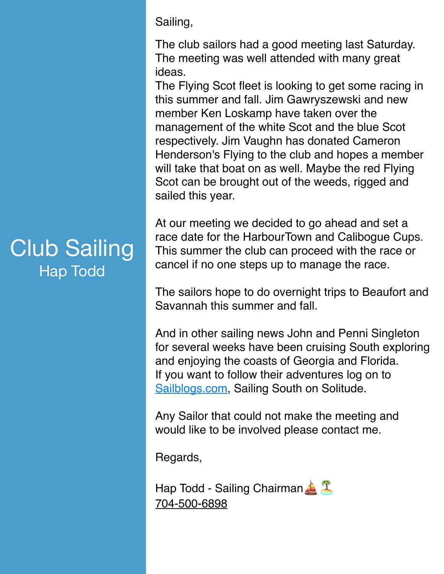Club Sailing Hap Todd

Sailing,

The club sailors had a good meeting last Saturday. The meeting was well attended with many great ideas.

The Flying Scot fleet is looking to get some racing in this summer and fall. Jim Gawryszewski and new member Ken Loskamp have taken over the management of the white Scot and the blue Scot respectively. Jim Vaughn has donated Cameron Henderson's Flying to the club and hopes a member will take that boat on as well. Maybe the red Flying Scot can be brought out of the weeds, rigged and sailed this year.

At our meeting we decided to go ahead and set a race date for the HarbourTown and Calibogue Cups. This summer the club can proceed with the race or cancel if no one steps up to manage the race.

The sailors hope to do overnight trips to Beaufort and Savannah this summer and fall.

And in other sailing news John and Penni Singleton for several weeks have been cruising South exploring and enjoying the coasts of Georgia and Florida. If you want to follow their adventures log on to Sailblogs.com, Sailing South on Solitude.

Any Sailor that could not make the meeting and would like to be involved please contact me.

Regards,

Hap Todd - Sailing Chairman  $\triangle$   $\mathbb{T}$ 704-500-6898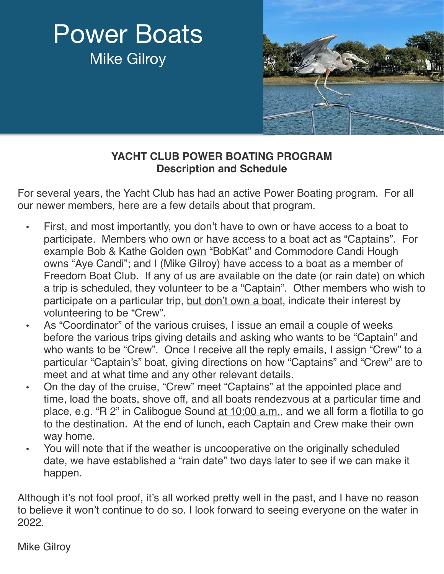# Power Boats Mike Gilroy



### **YACHT CLUB POWER BOATING PROGRAM Description and Schedule**

For several years, the Yacht Club has had an active Power Boating program. For all our newer members, here are a few details about that program.

- First, and most importantly, you don't have to own or have access to a boat to participate. Members who own or have access to a boat act as "Captains". For example Bob & Kathe Golden own "BobKat" and Commodore Candi Hough owns "Aye Candi"; and I (Mike Gilroy) have access to a boat as a member of Freedom Boat Club. If any of us are available on the date (or rain date) on which a trip is scheduled, they volunteer to be a "Captain". Other members who wish to participate on a particular trip, but don't own a boat, indicate their interest by volunteering to be "Crew".
- As "Coordinator" of the various cruises, I issue an email a couple of weeks before the various trips giving details and asking who wants to be "Captain" and who wants to be "Crew". Once I receive all the reply emails, I assign "Crew" to a particular "Captain's" boat, giving directions on how "Captains" and "Crew" are to meet and at what time and any other relevant details.
- On the day of the cruise, "Crew" meet "Captains" at the appointed place and time, load the boats, shove off, and all boats rendezvous at a particular time and place, e.g. "R 2" in Calibogue Sound at 10:00 a.m., and we all form a flotilla to go to the destination. At the end of lunch, each Captain and Crew make their own way home.
- You will note that if the weather is uncooperative on the originally scheduled date, we have established a "rain date" two days later to see if we can make it happen.

Although it's not fool proof, it's all worked pretty well in the past, and I have no reason to believe it won't continue to do so. I look forward to seeing everyone on the water in 2022.

Mike Gilroy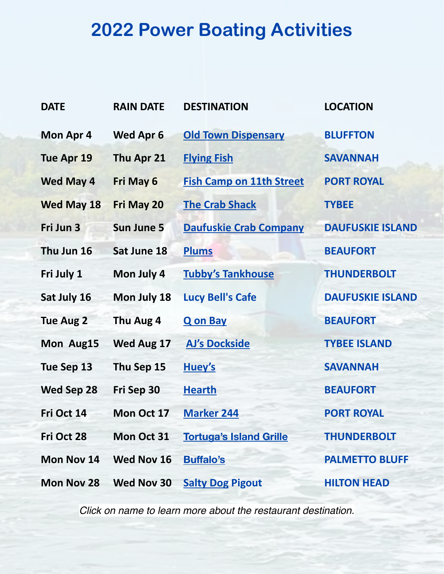# **2022 Power Boating Activities**

| <b>DATE</b>       | <b>RAIN DATE</b>  | <b>DESTINATION</b>              | <b>LOCATION</b>         |
|-------------------|-------------------|---------------------------------|-------------------------|
| Mon Apr 4         | <b>Wed Apr 6</b>  | <b>Old Town Dispensary</b>      | <b>BLUFFTON</b>         |
| Tue Apr 19        | Thu Apr 21        | <b>Flying Fish</b>              | <b>SAVANNAH</b>         |
| <b>Wed May 4</b>  | Fri May 6         | <b>Fish Camp on 11th Street</b> | <b>PORT ROYAL</b>       |
| <b>Wed May 18</b> | Fri May 20        | <b>The Crab Shack</b>           | <b>TYBEE</b>            |
| Fri Jun 3         | <b>Sun June 5</b> | <b>Daufuskie Crab Company</b>   | <b>DAUFUSKIE ISLAND</b> |
| Thu Jun 16        | Sat June 18       | <b>Plums</b>                    | <b>BEAUFORT</b>         |
| Fri July 1        | Mon July 4        | <b>Tubby's Tankhouse</b>        | <b>THUNDERBOLT</b>      |
| Sat July 16       | Mon July 18       | <b>Lucy Bell's Cafe</b>         | <b>DAUFUSKIE ISLAND</b> |
| <b>Tue Aug 2</b>  | Thu Aug 4         | <b>Q</b> on Bay                 | <b>BEAUFORT</b>         |
| Mon Aug15         | Wed Aug 17        | <b>AJ's Dockside</b>            | <b>TYBEE ISLAND</b>     |
| Tue Sep 13        | Thu Sep 15        | Huey's                          | <b>SAVANNAH</b>         |
| Wed Sep 28        | Fri Sep 30        | <b>Hearth</b>                   | <b>BEAUFORT</b>         |
| Fri Oct 14        | Mon Oct 17        | <b>Marker 244</b>               | <b>PORT ROYAL</b>       |
| Fri Oct 28        | Mon Oct 31        | <b>Tortuga's Island Grille</b>  | <b>THUNDERBOLT</b>      |
| Mon Nov 14        | Wed Nov 16        | <b>Buffalo's</b>                | <b>PALMETTO BLUFF</b>   |
| Mon Nov 28        | Wed Nov 30        | <b>Salty Dog Pigout</b>         | <b>HILTON HEAD</b>      |

*Click on name to learn more about the restaurant destination.*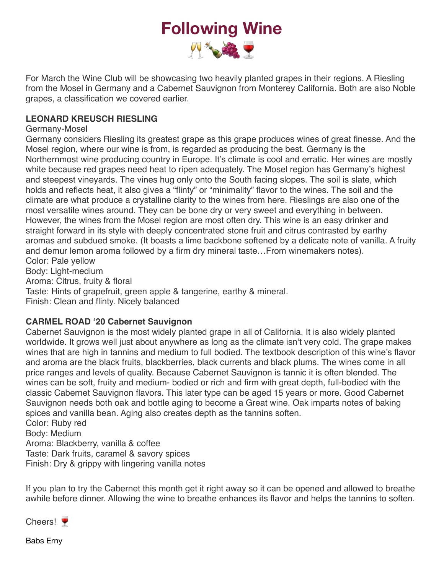## **Following Wine**  四、金甲

For March the Wine Club will be showcasing two heavily planted grapes in their regions. A Riesling from the Mosel in Germany and a Cabernet Sauvignon from Monterey California. Both are also Noble grapes, a classification we covered earlier.

#### **LEONARD KREUSCH RIESLING**

#### Germany-Mosel

Germany considers Riesling its greatest grape as this grape produces wines of great finesse. And the Mosel region, where our wine is from, is regarded as producing the best. Germany is the Northernmost wine producing country in Europe. It's climate is cool and erratic. Her wines are mostly white because red grapes need heat to ripen adequately. The Mosel region has Germany's highest and steepest vineyards. The vines hug only onto the South facing slopes. The soil is slate, which holds and reflects heat, it also gives a "flinty" or "minimality" flavor to the wines. The soil and the climate are what produce a crystalline clarity to the wines from here. Rieslings are also one of the most versatile wines around. They can be bone dry or very sweet and everything in between. However, the wines from the Mosel region are most often dry. This wine is an easy drinker and straight forward in its style with deeply concentrated stone fruit and citrus contrasted by earthy aromas and subdued smoke. (It boasts a lime backbone softened by a delicate note of vanilla. A fruity and demur lemon aroma followed by a firm dry mineral taste…From winemakers notes). Color: Pale yellow Body: Light-medium

Aroma: Citrus, fruity & floral

Taste: Hints of grapefruit, green apple & tangerine, earthy & mineral.

Finish: Clean and flinty. Nicely balanced

#### **CARMEL ROAD '20 Cabernet Sauvignon**

Cabernet Sauvignon is the most widely planted grape in all of California. It is also widely planted worldwide. It grows well just about anywhere as long as the climate isn't very cold. The grape makes wines that are high in tannins and medium to full bodied. The textbook description of this wine's flavor and aroma are the black fruits, blackberries, black currents and black plums. The wines come in all price ranges and levels of quality. Because Cabernet Sauvignon is tannic it is often blended. The wines can be soft, fruity and medium- bodied or rich and firm with great depth, full-bodied with the classic Cabernet Sauvignon flavors. This later type can be aged 15 years or more. Good Cabernet Sauvignon needs both oak and bottle aging to become a Great wine. Oak imparts notes of baking spices and vanilla bean. Aging also creates depth as the tannins soften.

Color: Ruby red Body: Medium Aroma: Blackberry, vanilla & coffee Taste: Dark fruits, caramel & savory spices Finish: Dry & grippy with lingering vanilla notes

If you plan to try the Cabernet this month get it right away so it can be opened and allowed to breathe awhile before dinner. Allowing the wine to breathe enhances its flavor and helps the tannins to soften.



Babs Erny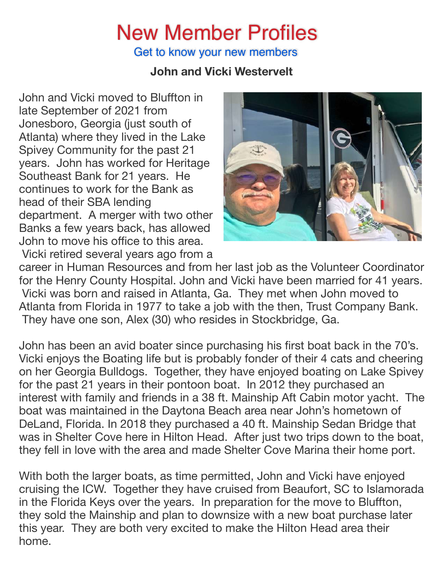# New Member Profiles

Get to know your new members

## **John and Vicki Westervelt**

John and Vicki moved to Bluffton in late September of 2021 from Jonesboro, Georgia (just south of Atlanta) where they lived in the Lake Spivey Community for the past 21 years. John has worked for Heritage Southeast Bank for 21 years. He continues to work for the Bank as head of their SBA lending department. A merger with two other Banks a few years back, has allowed John to move his office to this area. Vicki retired several years ago from a



career in Human Resources and from her last job as the Volunteer Coordinator for the Henry County Hospital. John and Vicki have been married for 41 years. Vicki was born and raised in Atlanta, Ga. They met when John moved to Atlanta from Florida in 1977 to take a job with the then, Trust Company Bank. They have one son, Alex (30) who resides in Stockbridge, Ga.

John has been an avid boater since purchasing his first boat back in the 70's. Vicki enjoys the Boating life but is probably fonder of their 4 cats and cheering on her Georgia Bulldogs. Together, they have enjoyed boating on Lake Spivey for the past 21 years in their pontoon boat. In 2012 they purchased an interest with family and friends in a 38 ft. Mainship Aft Cabin motor yacht. The boat was maintained in the Daytona Beach area near John's hometown of DeLand, Florida. In 2018 they purchased a 40 ft. Mainship Sedan Bridge that was in Shelter Cove here in Hilton Head. After just two trips down to the boat, they fell in love with the area and made Shelter Cove Marina their home port.

With both the larger boats, as time permitted, John and Vicki have enjoyed cruising the ICW. Together they have cruised from Beaufort, SC to Islamorada in the Florida Keys over the years. In preparation for the move to Bluffton, they sold the Mainship and plan to downsize with a new boat purchase later this year. They are both very excited to make the Hilton Head area their home.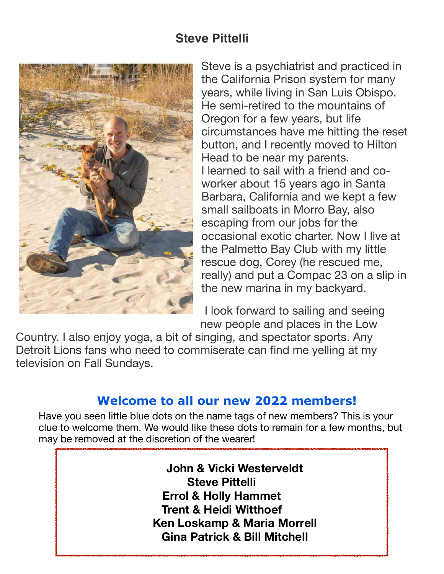

Steve is a psychiatrist and practiced in the California Prison system for many years, while living in San Luis Obispo. He semi-retired to the mountains of Oregon for a few years, but life circumstances have me hitting the reset button, and I recently moved to Hilton Head to be near my parents. I learned to sail with a friend and coworker about 15 years ago in Santa Barbara, California and we kept a few small sailboats in Morro Bay, also escaping from our jobs for the occasional exotic charter. Now I live at the Palmetto Bay Club with my little rescue dog, Corey (he rescued me, really) and put a Compac 23 on a slip in the new marina in my backyard.

I look forward to sailing and seeing new people and places in the Low

Country. I also enjoy yoga, a bit of singing, and spectator sports. Any Detroit Lions fans who need to commiserate can find me yelling at my television on Fall Sundays.

## **Welcome to all our new 2022 members!**

Have you seen little blue dots on the name tags of new members? This is your clue to welcome them. We would like these dots to remain for a few months, but may be removed at the discretion of the wearer!

> **John & Vicki Westerveldt Steve Pittelli Errol & Holly Hammet Trent & Heidi Witthoef Ken Loskamp & Maria Morrell Gina Patrick & Bill Mitchell**